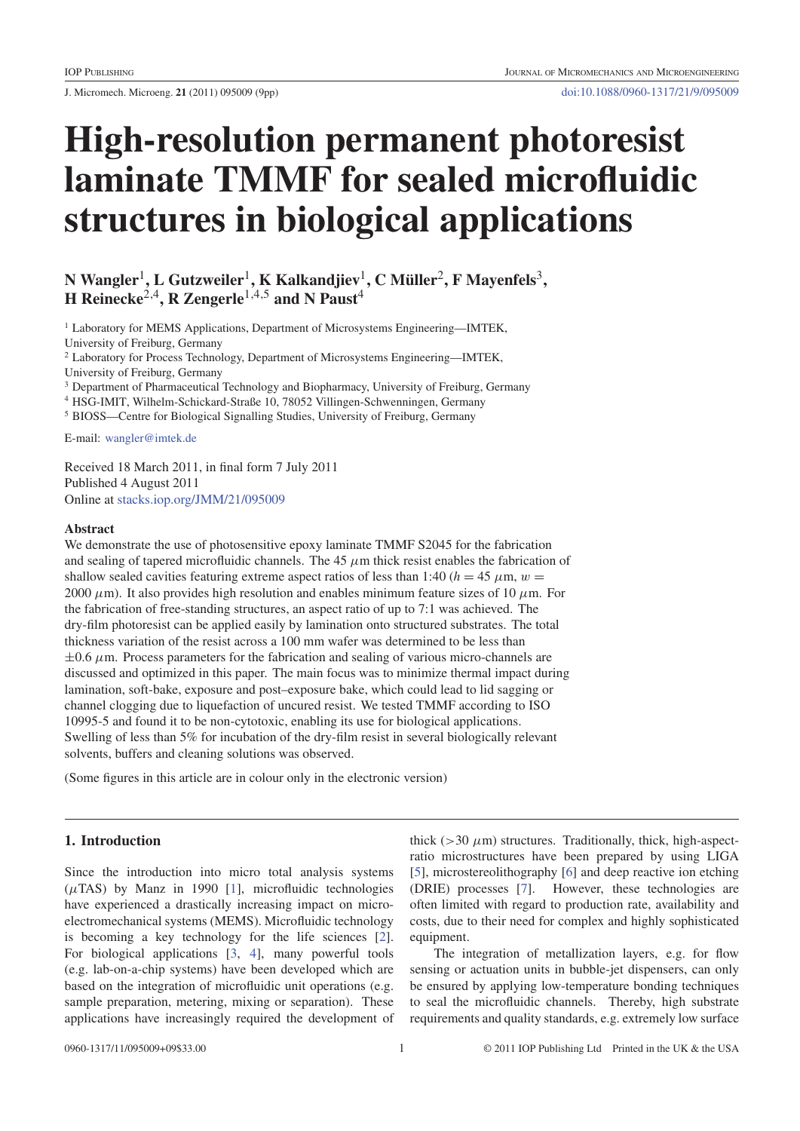J. Micromech. Microeng. **21** (2011) 095009 (9pp) doi:10.1088/0960-1317/21/9/095009

# **High-resolution permanent photoresist laminate TMMF for sealed microfluidic structures in biological applications**

**N Wangler**1**, L Gutzweiler**1**, K Kalkandjiev**1**,CMuller ¨** <sup>2</sup>**, F Mayenfels**3**, H Reinecke**2,4**, R Zengerle**1,4,5 **and N Paust**<sup>4</sup>

<sup>1</sup> Laboratory for MEMS Applications, Department of Microsystems Engineering—IMTEK,

University of Freiburg, Germany

<sup>2</sup> Laboratory for Process Technology, Department of Microsystems Engineering—IMTEK,

University of Freiburg, Germany

<sup>3</sup> Department of Pharmaceutical Technology and Biopharmacy, University of Freiburg, Germany

<sup>4</sup> HSG-IMIT, Wilhelm-Schickard-Straße 10, 78052 Villingen-Schwenningen, Germany

<sup>5</sup> BIOSS—Centre for Biological Signalling Studies, University of Freiburg, Germany

E-mail: wangler@imtek.de

Received 18 March 2011, in final form 7 July 2011 Published 4 August 2011 Online at stacks.iop.org/JMM/21/095009

#### **Abstract**

We demonstrate the use of photosensitive epoxy laminate TMMF S2045 for the fabrication and sealing of tapered microfluidic channels. The 45  $\mu$ m thick resist enables the fabrication of shallow sealed cavities featuring extreme aspect ratios of less than 1:40 ( $h = 45 \mu$ m,  $w =$ 2000  $\mu$ m). It also provides high resolution and enables minimum feature sizes of 10  $\mu$ m. For the fabrication of free-standing structures, an aspect ratio of up to 7:1 was achieved. The dry-film photoresist can be applied easily by lamination onto structured substrates. The total thickness variation of the resist across a 100 mm wafer was determined to be less than  $\pm 0.6 \ \mu$ m. Process parameters for the fabrication and sealing of various micro-channels are discussed and optimized in this paper. The main focus was to minimize thermal impact during lamination, soft-bake, exposure and post–exposure bake, which could lead to lid sagging or channel clogging due to liquefaction of uncured resist. We tested TMMF according to ISO 10995-5 and found it to be non-cytotoxic, enabling its use for biological applications. Swelling of less than 5% for incubation of the dry-film resist in several biologically relevant solvents, buffers and cleaning solutions was observed.

(Some figures in this article are in colour only in the electronic version)

# **1. Introduction**

Since the introduction into micro total analysis systems  $(\mu$ TAS) by Manz in 1990 [1], microfluidic technologies have experienced a drastically increasing impact on microelectromechanical systems (MEMS). Microfluidic technology is becoming a key technology for the life sciences [2]. For biological applications [3, 4], many powerful tools (e.g. lab-on-a-chip systems) have been developed which are based on the integration of microfluidic unit operations (e.g. sample preparation, metering, mixing or separation). These applications have increasingly required the development of thick ( $>$ 30  $\mu$ m) structures. Traditionally, thick, high-aspectratio microstructures have been prepared by using LIGA [5], microstereolithography [6] and deep reactive ion etching (DRIE) processes [7]. However, these technologies are often limited with regard to production rate, availability and costs, due to their need for complex and highly sophisticated equipment.

The integration of metallization layers, e.g. for flow sensing or actuation units in bubble-jet dispensers, can only be ensured by applying low-temperature bonding techniques to seal the microfluidic channels. Thereby, high substrate requirements and quality standards, e.g. extremely low surface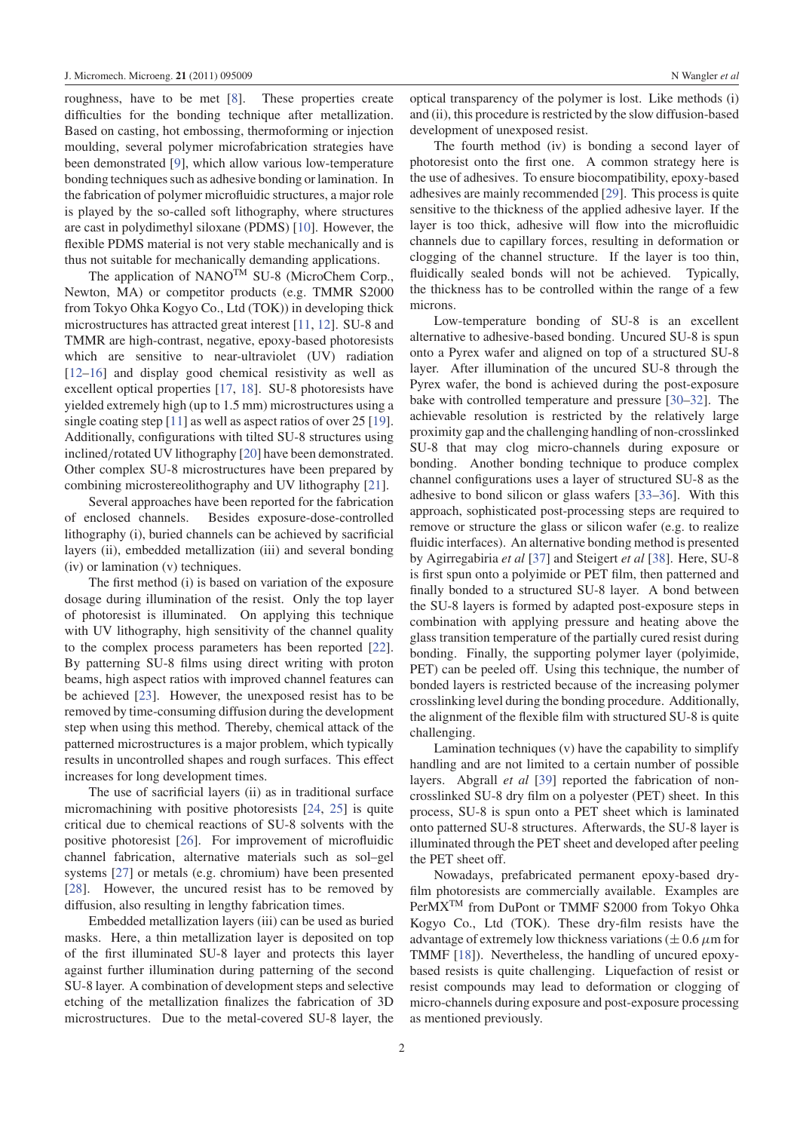roughness, have to be met [8]. These properties create difficulties for the bonding technique after metallization. Based on casting, hot embossing, thermoforming or injection moulding, several polymer microfabrication strategies have been demonstrated [9], which allow various low-temperature bonding techniques such as adhesive bonding or lamination. In the fabrication of polymer microfluidic structures, a major role is played by the so-called soft lithography, where structures are cast in polydimethyl siloxane (PDMS) [10]. However, the flexible PDMS material is not very stable mechanically and is thus not suitable for mechanically demanding applications.

The application of NANO<sup>TM</sup> SU-8 (MicroChem Corp., Newton, MA) or competitor products (e.g. TMMR S2000 from Tokyo Ohka Kogyo Co., Ltd (TOK)) in developing thick microstructures has attracted great interest [11, 12]. SU-8 and TMMR are high-contrast, negative, epoxy-based photoresists which are sensitive to near-ultraviolet (UV) radiation [12–16] and display good chemical resistivity as well as excellent optical properties [17, 18]. SU-8 photoresists have yielded extremely high (up to 1.5 mm) microstructures using a single coating step [11] as well as aspect ratios of over 25 [19]. Additionally, configurations with tilted SU-8 structures using inclined/rotated UV lithography [20] have been demonstrated. Other complex SU-8 microstructures have been prepared by combining microstereolithography and UV lithography [21].

Several approaches have been reported for the fabrication of enclosed channels. Besides exposure-dose-controlled lithography (i), buried channels can be achieved by sacrificial layers (ii), embedded metallization (iii) and several bonding (iv) or lamination (v) techniques.

The first method (i) is based on variation of the exposure dosage during illumination of the resist. Only the top layer of photoresist is illuminated. On applying this technique with UV lithography, high sensitivity of the channel quality to the complex process parameters has been reported [22]. By patterning SU-8 films using direct writing with proton beams, high aspect ratios with improved channel features can be achieved [23]. However, the unexposed resist has to be removed by time-consuming diffusion during the development step when using this method. Thereby, chemical attack of the patterned microstructures is a major problem, which typically results in uncontrolled shapes and rough surfaces. This effect increases for long development times.

The use of sacrificial layers (ii) as in traditional surface micromachining with positive photoresists [24, 25] is quite critical due to chemical reactions of SU-8 solvents with the positive photoresist [26]. For improvement of microfluidic channel fabrication, alternative materials such as sol–gel systems [27] or metals (e.g. chromium) have been presented [28]. However, the uncured resist has to be removed by diffusion, also resulting in lengthy fabrication times.

Embedded metallization layers (iii) can be used as buried masks. Here, a thin metallization layer is deposited on top of the first illuminated SU-8 layer and protects this layer against further illumination during patterning of the second SU-8 layer. A combination of development steps and selective etching of the metallization finalizes the fabrication of 3D microstructures. Due to the metal-covered SU-8 layer, the optical transparency of the polymer is lost. Like methods (i) and (ii), this procedure is restricted by the slow diffusion-based development of unexposed resist.

The fourth method (iv) is bonding a second layer of photoresist onto the first one. A common strategy here is the use of adhesives. To ensure biocompatibility, epoxy-based adhesives are mainly recommended [29]. This process is quite sensitive to the thickness of the applied adhesive layer. If the layer is too thick, adhesive will flow into the microfluidic channels due to capillary forces, resulting in deformation or clogging of the channel structure. If the layer is too thin, fluidically sealed bonds will not be achieved. Typically, the thickness has to be controlled within the range of a few microns.

Low-temperature bonding of SU-8 is an excellent alternative to adhesive-based bonding. Uncured SU-8 is spun onto a Pyrex wafer and aligned on top of a structured SU-8 layer. After illumination of the uncured SU-8 through the Pyrex wafer, the bond is achieved during the post-exposure bake with controlled temperature and pressure [30–32]. The achievable resolution is restricted by the relatively large proximity gap and the challenging handling of non-crosslinked SU-8 that may clog micro-channels during exposure or bonding. Another bonding technique to produce complex channel configurations uses a layer of structured SU-8 as the adhesive to bond silicon or glass wafers [33–36]. With this approach, sophisticated post-processing steps are required to remove or structure the glass or silicon wafer (e.g. to realize fluidic interfaces). An alternative bonding method is presented by Agirregabiria *et al* [37] and Steigert *et al* [38]. Here, SU-8 is first spun onto a polyimide or PET film, then patterned and finally bonded to a structured SU-8 layer. A bond between the SU-8 layers is formed by adapted post-exposure steps in combination with applying pressure and heating above the glass transition temperature of the partially cured resist during bonding. Finally, the supporting polymer layer (polyimide, PET) can be peeled off. Using this technique, the number of bonded layers is restricted because of the increasing polymer crosslinking level during the bonding procedure. Additionally, the alignment of the flexible film with structured SU-8 is quite challenging.

Lamination techniques (v) have the capability to simplify handling and are not limited to a certain number of possible layers. Abgrall *et al* [39] reported the fabrication of noncrosslinked SU-8 dry film on a polyester (PET) sheet. In this process, SU-8 is spun onto a PET sheet which is laminated onto patterned SU-8 structures. Afterwards, the SU-8 layer is illuminated through the PET sheet and developed after peeling the PET sheet off.

Nowadays, prefabricated permanent epoxy-based dryfilm photoresists are commercially available. Examples are PerMXTM from DuPont or TMMF S2000 from Tokyo Ohka Kogyo Co., Ltd (TOK). These dry-film resists have the advantage of extremely low thickness variations ( $\pm$  0.6  $\mu$ m for TMMF [18]). Nevertheless, the handling of uncured epoxybased resists is quite challenging. Liquefaction of resist or resist compounds may lead to deformation or clogging of micro-channels during exposure and post-exposure processing as mentioned previously.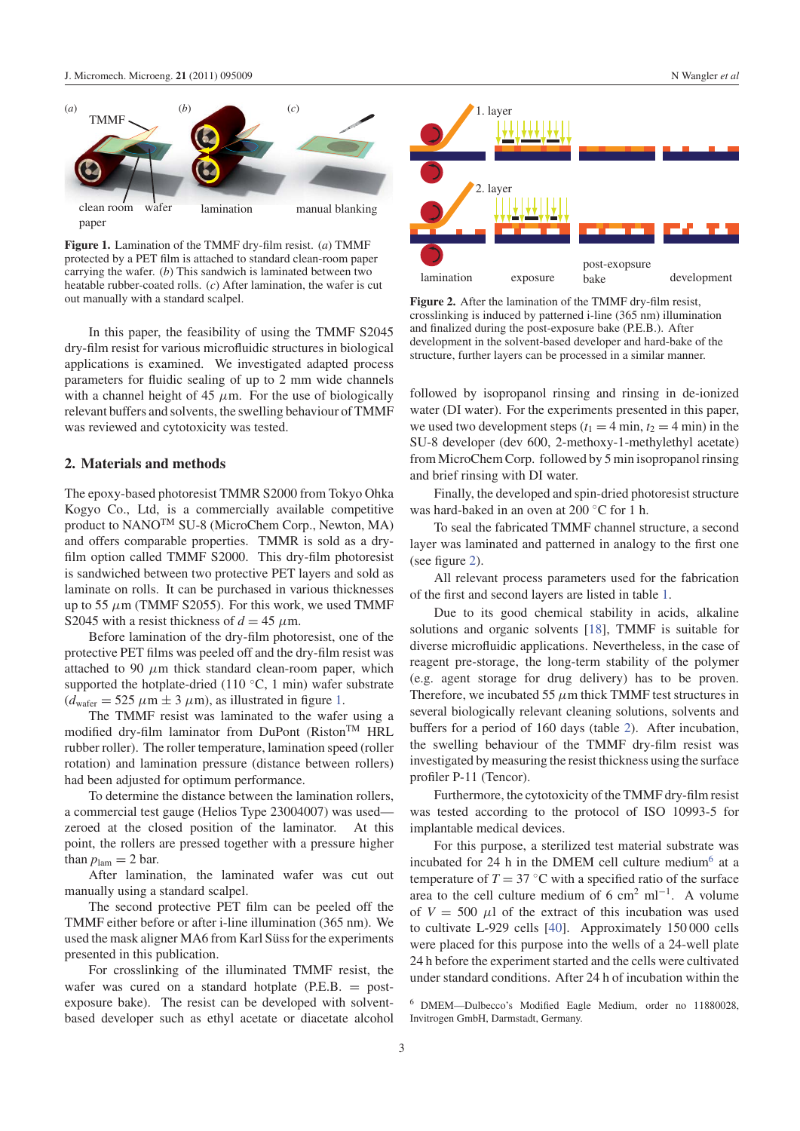

**Figure 1.** Lamination of the TMMF dry-film resist. (*a*) TMMF protected by a PET film is attached to standard clean-room paper carrying the wafer. (*b*) This sandwich is laminated between two heatable rubber-coated rolls. (*c*) After lamination, the wafer is cut out manually with a standard scalpel.

In this paper, the feasibility of using the TMMF S2045 dry-film resist for various microfluidic structures in biological applications is examined. We investigated adapted process parameters for fluidic sealing of up to 2 mm wide channels with a channel height of 45  $\mu$ m. For the use of biologically relevant buffers and solvents, the swelling behaviour of TMMF was reviewed and cytotoxicity was tested.

## **2. Materials and methods**

The epoxy-based photoresist TMMR S2000 from Tokyo Ohka Kogyo Co., Ltd, is a commercially available competitive product to NANOTM SU-8 (MicroChem Corp., Newton, MA) and offers comparable properties. TMMR is sold as a dryfilm option called TMMF S2000. This dry-film photoresist is sandwiched between two protective PET layers and sold as laminate on rolls. It can be purchased in various thicknesses up to 55  $\mu$ m (TMMF S2055). For this work, we used TMMF S2045 with a resist thickness of  $d = 45 \mu$ m.

Before lamination of the dry-film photoresist, one of the protective PET films was peeled off and the dry-film resist was attached to 90  $\mu$ m thick standard clean-room paper, which supported the hotplate-dried (110  $°C$ , 1 min) wafer substrate  $(d_{\text{water}} = 525 \ \mu \text{m} \pm 3 \ \mu \text{m})$ , as illustrated in figure 1.

The TMMF resist was laminated to the wafer using a modified dry-film laminator from DuPont (Riston<sup>TM</sup> HRL rubber roller). The roller temperature, lamination speed (roller rotation) and lamination pressure (distance between rollers) had been adjusted for optimum performance.

To determine the distance between the lamination rollers, a commercial test gauge (Helios Type 23004007) was used zeroed at the closed position of the laminator. At this point, the rollers are pressed together with a pressure higher than  $p_{\text{lam}} = 2$  bar.

After lamination, the laminated wafer was cut out manually using a standard scalpel.

The second protective PET film can be peeled off the TMMF either before or after i-line illumination (365 nm). We used the mask aligner MA6 from Karl Süss for the experiments presented in this publication.

For crosslinking of the illuminated TMMF resist, the wafer was cured on a standard hotplate (P.E.B. = postexposure bake). The resist can be developed with solventbased developer such as ethyl acetate or diacetate alcohol



**Figure 2.** After the lamination of the TMMF dry-film resist, crosslinking is induced by patterned i-line (365 nm) illumination and finalized during the post-exposure bake (P.E.B.). After development in the solvent-based developer and hard-bake of the structure, further layers can be processed in a similar manner.

followed by isopropanol rinsing and rinsing in de-ionized water (DI water). For the experiments presented in this paper, we used two development steps  $(t_1 = 4 \text{ min}, t_2 = 4 \text{ min})$  in the SU-8 developer (dev 600, 2-methoxy-1-methylethyl acetate) from MicroChem Corp. followed by 5 min isopropanol rinsing and brief rinsing with DI water.

Finally, the developed and spin-dried photoresist structure was hard-baked in an oven at 200 ◦C for 1 h.

To seal the fabricated TMMF channel structure, a second layer was laminated and patterned in analogy to the first one (see figure 2).

All relevant process parameters used for the fabrication of the first and second layers are listed in table 1.

Due to its good chemical stability in acids, alkaline solutions and organic solvents [18], TMMF is suitable for diverse microfluidic applications. Nevertheless, in the case of reagent pre-storage, the long-term stability of the polymer (e.g. agent storage for drug delivery) has to be proven. Therefore, we incubated 55  $\mu$ m thick TMMF test structures in several biologically relevant cleaning solutions, solvents and buffers for a period of 160 days (table 2). After incubation, the swelling behaviour of the TMMF dry-film resist was investigated by measuring the resist thickness using the surface profiler P-11 (Tencor).

Furthermore, the cytotoxicity of the TMMF dry-film resist was tested according to the protocol of ISO 10993-5 for implantable medical devices.

For this purpose, a sterilized test material substrate was incubated for 24 h in the DMEM cell culture medium<sup>6</sup> at a temperature of  $T = 37$  °C with a specified ratio of the surface area to the cell culture medium of 6 cm<sup>2</sup> ml<sup>-1</sup>. A volume of  $V = 500 \mu l$  of the extract of this incubation was used to cultivate L-929 cells [40]. Approximately 150 000 cells were placed for this purpose into the wells of a 24-well plate 24 h before the experiment started and the cells were cultivated under standard conditions. After 24 h of incubation within the

<sup>6</sup> DMEM—Dulbecco's Modified Eagle Medium, order no 11880028, Invitrogen GmbH, Darmstadt, Germany.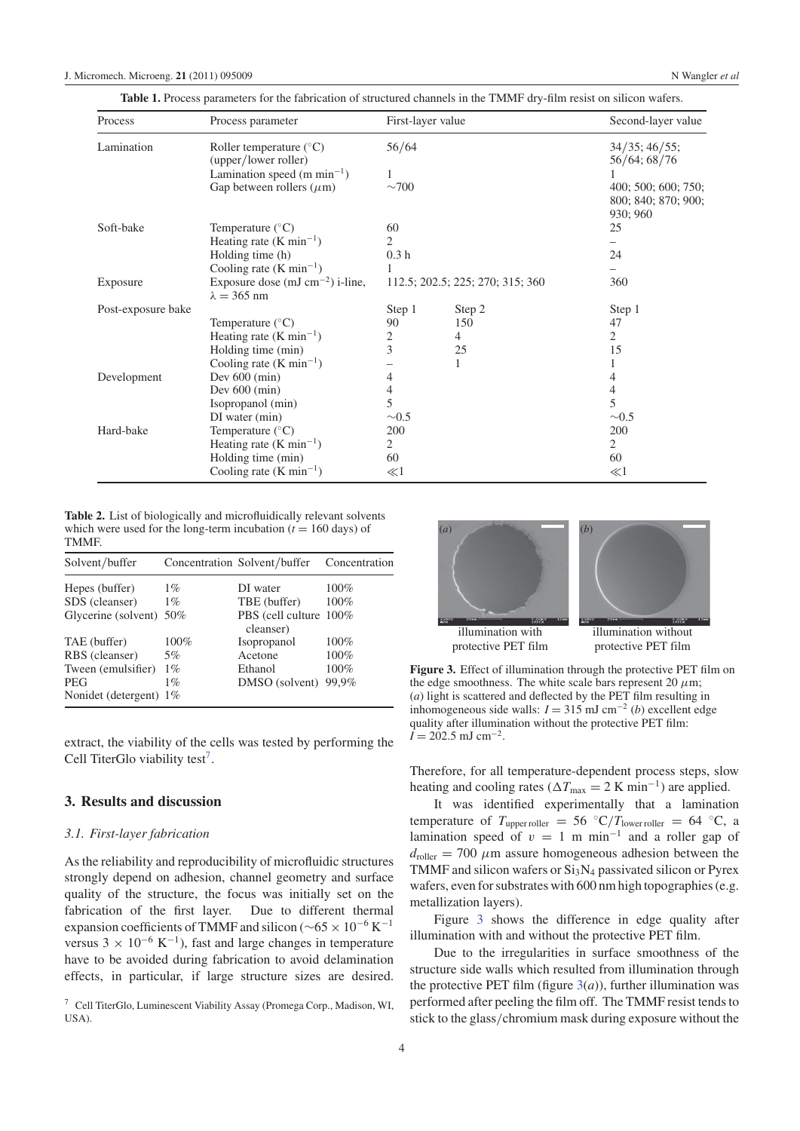| <b>Table 1.</b> Process parameters for the fabrication of structured channels in the TMMF drv-film resist on silicon wafers. |  |  |  |  |
|------------------------------------------------------------------------------------------------------------------------------|--|--|--|--|
|                                                                                                                              |  |  |  |  |

| Process            | Process parameter                                          | First-layer value                |        | Second-layer value                                     |  |
|--------------------|------------------------------------------------------------|----------------------------------|--------|--------------------------------------------------------|--|
| Lamination         | Roller temperature $(^{\circ}C)$<br>(upper/lower roller)   | 56/64                            |        | $34/35$ ; $46/55$ ;<br>56/64; 68/76                    |  |
|                    | Lamination speed $(m \text{ min}^{-1})$                    |                                  |        |                                                        |  |
|                    | Gap between rollers $(\mu m)$                              | $\sim$ 700                       |        | 400; 500; 600; 750;<br>800; 840; 870; 900;<br>930; 960 |  |
| Soft-bake          | Temperature $(^{\circ}C)$                                  | 60                               |        | 25                                                     |  |
|                    | Heating rate $(K min^{-1})$                                | 2                                |        |                                                        |  |
|                    | Holding time (h)                                           | 0.3 <sub>h</sub>                 |        | 24                                                     |  |
|                    | Cooling rate $(K min^{-1})$                                |                                  |        |                                                        |  |
| Exposure           | Exposure dose $(mJ cm^{-2})$ i-line,<br>$\lambda = 365$ nm | 112.5; 202.5; 225; 270; 315; 360 |        | 360                                                    |  |
| Post-exposure bake |                                                            | Step 1                           | Step 2 | Step 1                                                 |  |
|                    | Temperature $(^{\circ}C)$                                  | 90                               | 150    | 47                                                     |  |
|                    | Heating rate $(K min^{-1})$                                | 2                                | 4      | $\overline{2}$                                         |  |
|                    | Holding time (min)                                         | $\overline{3}$                   | 25     | 15                                                     |  |
|                    | Cooling rate $(K min^{-1})$                                |                                  | 1      |                                                        |  |
| Development        | Dev $600 \, (\text{min})$                                  | 4                                |        | 4                                                      |  |
|                    | Dev $600 \, (min)$                                         | 4                                |        | 4                                                      |  |
|                    | Isopropanol (min)                                          | 5                                |        | 5                                                      |  |
|                    | DI water (min)                                             | $\sim 0.5$                       |        | $\sim 0.5$                                             |  |
| Hard-bake          | Temperature $(^{\circ}C)$                                  | 200                              |        | 200                                                    |  |
|                    | Heating rate $(K min^{-1})$                                | $\overline{2}$                   |        | 2                                                      |  |
|                    | Holding time (min)                                         | 60                               |        | 60                                                     |  |
|                    | Cooling rate $(K min^{-1})$                                | $\ll$ 1                          |        | $\ll$ l                                                |  |

**Table 2.** List of biologically and microfluidically relevant solvents which were used for the long-term incubation  $(t = 160 \text{ days})$  of TMMF.

| Solvent/buffer          |       | Concentration Solvent/buffer        | Concentration |
|-------------------------|-------|-------------------------------------|---------------|
| Hepes (buffer)          | $1\%$ | DI water                            | $100\%$       |
| SDS (cleanser)          | $1\%$ | TBE (buffer)                        | 100%          |
| Glycerine (solvent) 50% |       | PBS (cell culture 100%<br>cleanser) |               |
| TAE (buffer)            | 100%  | Isopropanol                         | $100\%$       |
| RBS (cleanser)          | 5%    | Acetone                             | 100%          |
| Tween (emulsifier)      | $1\%$ | Ethanol                             | 100%          |
| <b>PEG</b>              | $1\%$ | DMSO (solvent)                      | 99.9%         |
| Nonidet (detergent) 1%  |       |                                     |               |

extract, the viability of the cells was tested by performing the Cell TiterGlo viability test<sup>7</sup>.

## **3. Results and discussion**

#### *3.1. First-layer fabrication*

As the reliability and reproducibility of microfluidic structures strongly depend on adhesion, channel geometry and surface quality of the structure, the focus was initially set on the fabrication of the first layer. Due to different thermal expansion coefficients of TMMF and silicon ( $\sim$ 65 × 10<sup>-6</sup> K<sup>-1</sup> versus  $3 \times 10^{-6}$  K<sup>-1</sup>), fast and large changes in temperature have to be avoided during fabrication to avoid delamination effects, in particular, if large structure sizes are desired.

<sup>7</sup> Cell TiterGlo, Luminescent Viability Assay (Promega Corp., Madison, WI, USA).



**Figure 3.** Effect of illumination through the protective PET film on the edge smoothness. The white scale bars represent 20  $\mu$ m; (*a*) light is scattered and deflected by the PET film resulting in inhomogeneous side walls: *I* = 315 mJ cm−<sup>2</sup> (*b*) excellent edge quality after illumination without the protective PET film:  $\overline{I} = 202.5$  mJ cm<sup>-2</sup>.

Therefore, for all temperature-dependent process steps, slow heating and cooling rates ( $\Delta T_{\text{max}} = 2 \text{ K min}^{-1}$ ) are applied.

It was identified experimentally that a lamination temperature of  $T_{\text{upper roller}} = 56 °C/T_{\text{lower roller}} = 64 °C$ , a lamination speed of  $v = 1$  m min<sup>-1</sup> and a roller gap of  $d_{\text{roller}} = 700 \ \mu \text{m}$  assure homogeneous adhesion between the TMMF and silicon wafers or  $Si<sub>3</sub>N<sub>4</sub>$  passivated silicon or Pyrex wafers, even for substrates with 600 nm high topographies (e.g. metallization layers).

Figure 3 shows the difference in edge quality after illumination with and without the protective PET film.

Due to the irregularities in surface smoothness of the structure side walls which resulted from illumination through the protective PET film (figure  $3(a)$ ), further illumination was performed after peeling the film off. The TMMF resist tends to stick to the glass/chromium mask during exposure without the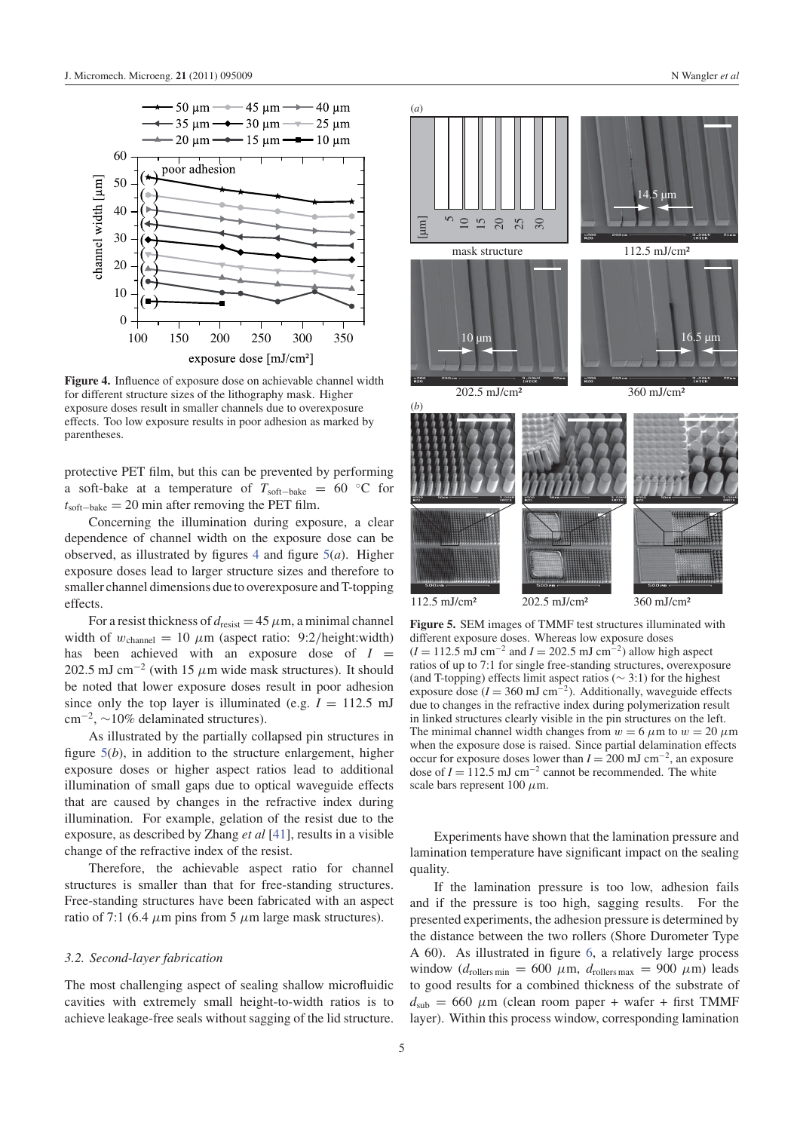

**Figure 4.** Influence of exposure dose on achievable channel width for different structure sizes of the lithography mask. Higher exposure doses result in smaller channels due to overexposure effects. Too low exposure results in poor adhesion as marked by parentheses.

protective PET film, but this can be prevented by performing a soft-bake at a temperature of  $T_{\text{soft} - \text{back}} = 60$  °C for *t*soft−bake = 20 min after removing the PET film.

Concerning the illumination during exposure, a clear dependence of channel width on the exposure dose can be observed, as illustrated by figures 4 and figure 5(*a*). Higher exposure doses lead to larger structure sizes and therefore to smaller channel dimensions due to overexposure and T-topping effects.

For a resist thickness of  $d_{\text{resist}} = 45 \,\mu\text{m}$ , a minimal channel width of  $w_{channel} = 10 \ \mu m$  (aspect ratio: 9:2/height:width) has been achieved with an exposure dose of  $I =$ 202.5 mJ cm<sup>-2</sup> (with 15  $\mu$ m wide mask structures). It should be noted that lower exposure doses result in poor adhesion since only the top layer is illuminated (e.g.  $I = 112.5$  mJ  $\text{cm}^{-2}$ , ~10% delaminated structures).

As illustrated by the partially collapsed pin structures in figure 5(*b*), in addition to the structure enlargement, higher exposure doses or higher aspect ratios lead to additional illumination of small gaps due to optical waveguide effects that are caused by changes in the refractive index during illumination. For example, gelation of the resist due to the exposure, as described by Zhang *et al* [41], results in a visible change of the refractive index of the resist.

Therefore, the achievable aspect ratio for channel structures is smaller than that for free-standing structures. Free-standing structures have been fabricated with an aspect ratio of 7:1 (6.4  $\mu$ m pins from 5  $\mu$ m large mask structures).

#### *3.2. Second-layer fabrication*

The most challenging aspect of sealing shallow microfluidic cavities with extremely small height-to-width ratios is to achieve leakage-free seals without sagging of the lid structure.



**Figure 5.** SEM images of TMMF test structures illuminated with different exposure doses. Whereas low exposure doses  $(I = 112.5 \text{ mJ cm}^{-2}$  and  $I = 202.5 \text{ mJ cm}^{-2}$ ) allow high aspect ratios of up to 7:1 for single free-standing structures, overexposure (and T-topping) effects limit aspect ratios ( $\sim$  3:1) for the highest exposure dose  $(I = 360 \text{ mJ cm}^{-2})$ . Additionally, waveguide effects due to changes in the refractive index during polymerization result in linked structures clearly visible in the pin structures on the left. The minimal channel width changes from  $w = 6 \mu m$  to  $w = 20 \mu m$ when the exposure dose is raised. Since partial delamination effects occur for exposure doses lower than *I* = 200 mJ cm−2, an exposure dose of  $I = 112.5$  mJ cm<sup>-2</sup> cannot be recommended. The white scale bars represent  $100 \mu$ m.

Experiments have shown that the lamination pressure and lamination temperature have significant impact on the sealing quality.

If the lamination pressure is too low, adhesion fails and if the pressure is too high, sagging results. For the presented experiments, the adhesion pressure is determined by the distance between the two rollers (Shore Durometer Type A 60). As illustrated in figure 6, a relatively large process window ( $d_{\text{rollers min}} = 600 \mu \text{m}$ ,  $d_{\text{rollers max}} = 900 \mu \text{m}$ ) leads to good results for a combined thickness of the substrate of  $d<sub>sub</sub> = 660 \mu m$  (clean room paper + wafer + first TMMF layer). Within this process window, corresponding lamination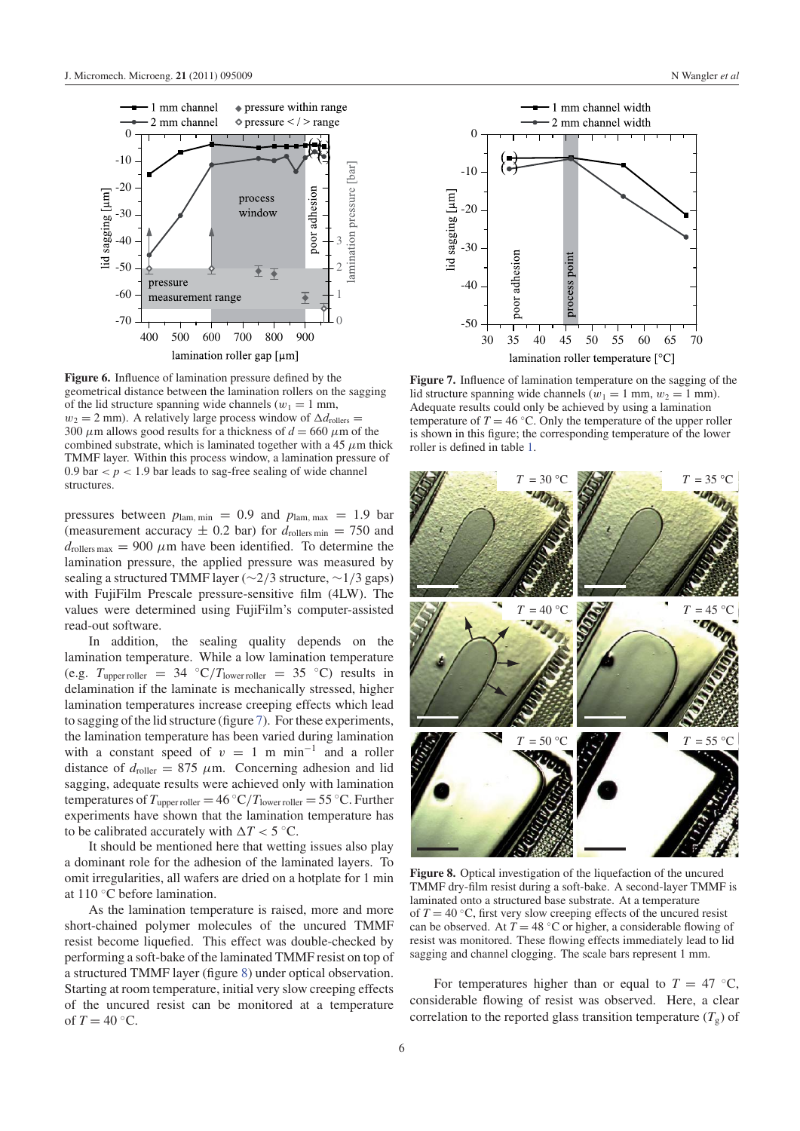



**Figure 6.** Influence of lamination pressure defined by the geometrical distance between the lamination rollers on the sagging of the lid structure spanning wide channels ( $w_1 = 1$  mm,  $w_2 = 2$  mm). A relatively large process window of  $\Delta d_{\text{rollers}} =$ 300  $\mu$ m allows good results for a thickness of  $d = 660 \mu$ m of the combined substrate, which is laminated together with a 45  $\mu$ m thick TMMF layer. Within this process window, a lamination pressure of 0.9 bar  $\lt p \lt 1.9$  bar leads to sag-free sealing of wide channel structures.

pressures between  $p_{\text{lam, min}} = 0.9$  and  $p_{\text{lam, max}} = 1.9$  bar (measurement accuracy  $\pm$  0.2 bar) for  $d_{\text{rollers min}} = 750$  and  $d_{\text{rollers max}} = 900 \mu \text{m}$  have been identified. To determine the lamination pressure, the applied pressure was measured by sealing a structured TMMF layer (∼2/3 structure, ∼1/3 gaps) with FujiFilm Prescale pressure-sensitive film (4LW). The values were determined using FujiFilm's computer-assisted read-out software.

In addition, the sealing quality depends on the lamination temperature. While a low lamination temperature (e.g.  $T_{\text{upper roller}} = 34 \text{ °C}/T_{\text{lower roller}} = 35 \text{ °C}$ ) results in delamination if the laminate is mechanically stressed, higher lamination temperatures increase creeping effects which lead to sagging of the lid structure (figure 7). For these experiments, the lamination temperature has been varied during lamination with a constant speed of  $v = 1$  m min<sup>-1</sup> and a roller distance of  $d_{\text{roller}} = 875 \mu \text{m}$ . Concerning adhesion and lid sagging, adequate results were achieved only with lamination temperatures of  $T_{\text{upper roller}} = 46 \text{ °C}/T_{\text{lower roller}} = 55 \text{ °C}$ . Further experiments have shown that the lamination temperature has to be calibrated accurately with  $\Delta T < 5$  °C.

It should be mentioned here that wetting issues also play a dominant role for the adhesion of the laminated layers. To omit irregularities, all wafers are dried on a hotplate for 1 min at 110 ◦C before lamination.

As the lamination temperature is raised, more and more short-chained polymer molecules of the uncured TMMF resist become liquefied. This effect was double-checked by performing a soft-bake of the laminated TMMF resist on top of a structured TMMF layer (figure 8) under optical observation. Starting at room temperature, initial very slow creeping effects of the uncured resist can be monitored at a temperature of  $T = 40$  °C.



**Figure 7.** Influence of lamination temperature on the sagging of the lid structure spanning wide channels ( $w_1 = 1$  mm,  $w_2 = 1$  mm). Adequate results could only be achieved by using a lamination temperature of  $T = 46 °C$ . Only the temperature of the upper roller is shown in this figure; the corresponding temperature of the lower roller is defined in table 1.



**Figure 8.** Optical investigation of the liquefaction of the uncured TMMF dry-film resist during a soft-bake. A second-layer TMMF is laminated onto a structured base substrate. At a temperature of  $T = 40$  °C, first very slow creeping effects of the uncured resist can be observed. At  $T = 48$  °C or higher, a considerable flowing of resist was monitored. These flowing effects immediately lead to lid sagging and channel clogging. The scale bars represent 1 mm.

For temperatures higher than or equal to  $T = 47 \degree C$ , considerable flowing of resist was observed. Here, a clear correlation to the reported glass transition temperature  $(T_g)$  of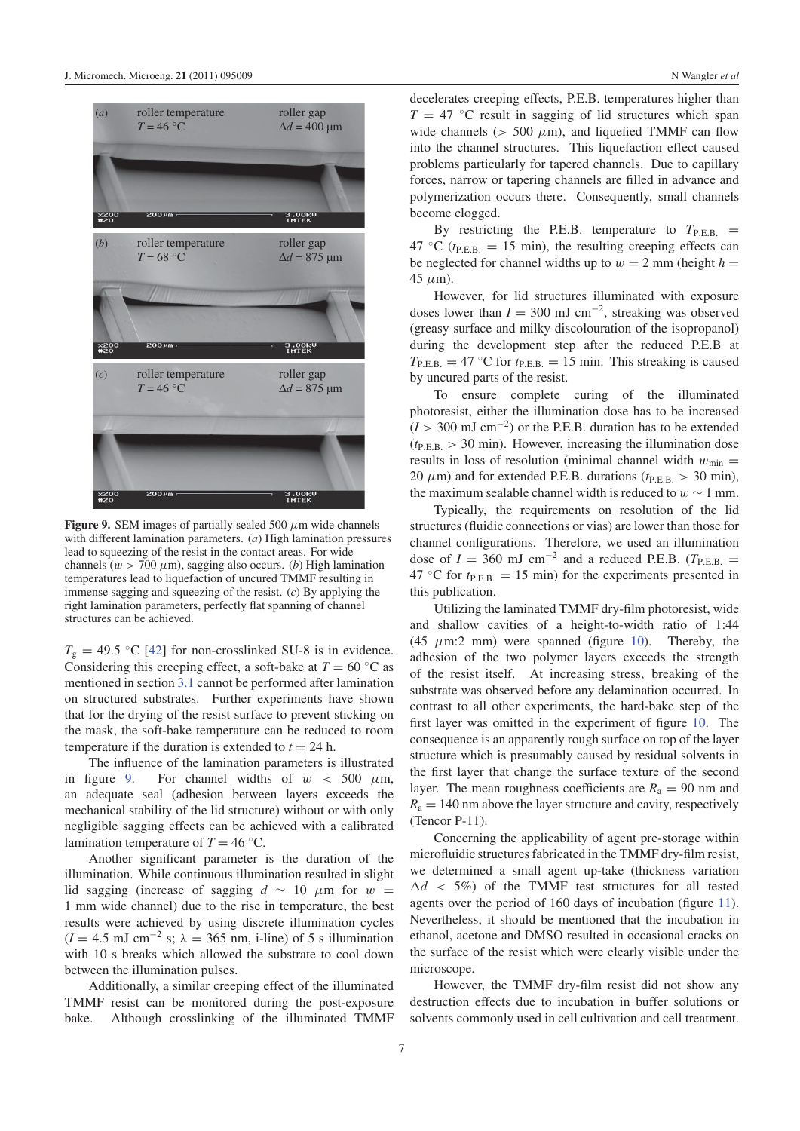

**Figure 9.** SEM images of partially sealed 500  $\mu$ m wide channels with different lamination parameters. (*a*) High lamination pressures lead to squeezing of the resist in the contact areas. For wide channels  $(w > 700 \ \mu m)$ , sagging also occurs. (*b*) High lamination temperatures lead to liquefaction of uncured TMMF resulting in immense sagging and squeezing of the resist. (*c*) By applying the right lamination parameters, perfectly flat spanning of channel structures can be achieved.

 $T_g = 49.5$  °C [42] for non-crosslinked SU-8 is in evidence. Considering this creeping effect, a soft-bake at  $T = 60 °C$  as mentioned in section 3.1 cannot be performed after lamination on structured substrates. Further experiments have shown that for the drying of the resist surface to prevent sticking on the mask, the soft-bake temperature can be reduced to room temperature if the duration is extended to  $t = 24$  h.

The influence of the lamination parameters is illustrated in figure 9. For channel widths of  $w < 500 \mu m$ , an adequate seal (adhesion between layers exceeds the mechanical stability of the lid structure) without or with only negligible sagging effects can be achieved with a calibrated lamination temperature of  $T = 46 °C$ .

Another significant parameter is the duration of the illumination. While continuous illumination resulted in slight lid sagging (increase of sagging  $d \sim 10 \mu m$  for w = 1 mm wide channel) due to the rise in temperature, the best results were achieved by using discrete illumination cycles  $(I = 4.5 \text{ mJ cm}^{-2} \text{ s}; \lambda = 365 \text{ nm}, \text{ i-line}$  of 5 s illumination with 10 s breaks which allowed the substrate to cool down between the illumination pulses.

Additionally, a similar creeping effect of the illuminated TMMF resist can be monitored during the post-exposure bake. Although crosslinking of the illuminated TMMF decelerates creeping effects, P.E.B. temperatures higher than  $T = 47$  °C result in sagging of lid structures which span wide channels ( $> 500 \mu m$ ), and liquefied TMMF can flow into the channel structures. This liquefaction effect caused problems particularly for tapered channels. Due to capillary forces, narrow or tapering channels are filled in advance and polymerization occurs there. Consequently, small channels become clogged.

By restricting the P.E.B. temperature to  $T_{\text{P.E.B.}}$  = 47 °C ( $t_{\text{PE.B.}} = 15$  min), the resulting creeping effects can be neglected for channel widths up to  $w = 2$  mm (height  $h =$  $45 \mu m$ ).

However, for lid structures illuminated with exposure doses lower than  $I = 300$  mJ cm<sup>-2</sup>, streaking was observed (greasy surface and milky discolouration of the isopropanol) during the development step after the reduced P.E.B at  $T_{\text{P.E.B.}} = 47 \text{ °C}$  for  $t_{\text{P.E.B.}} = 15 \text{ min}$ . This streaking is caused by uncured parts of the resist.

To ensure complete curing of the illuminated photoresist, either the illumination dose has to be increased  $(I > 300 \text{ mJ cm}^{-2})$  or the P.E.B. duration has to be extended  $(t_{\text{PE.B.}} > 30 \text{ min})$ . However, increasing the illumination dose results in loss of resolution (minimal channel width  $w_{min} =$ 20  $\mu$ m) and for extended P.E.B. durations ( $t_{\text{PE.B.}} > 30$  min), the maximum sealable channel width is reduced to  $w \sim 1$  mm.

Typically, the requirements on resolution of the lid structures (fluidic connections or vias) are lower than those for channel configurations. Therefore, we used an illumination dose of  $I = 360$  mJ cm<sup>-2</sup> and a reduced P.E.B. ( $T_{\text{P.E.B.}}$  $47 \text{ °C}$  for  $t_{\text{P.E.B.}} = 15 \text{ min}$  for the experiments presented in this publication.

Utilizing the laminated TMMF dry-film photoresist, wide and shallow cavities of a height-to-width ratio of 1:44 (45  $\mu$ m:2 mm) were spanned (figure 10). Thereby, the adhesion of the two polymer layers exceeds the strength of the resist itself. At increasing stress, breaking of the substrate was observed before any delamination occurred. In contrast to all other experiments, the hard-bake step of the first layer was omitted in the experiment of figure 10. The consequence is an apparently rough surface on top of the layer structure which is presumably caused by residual solvents in the first layer that change the surface texture of the second layer. The mean roughness coefficients are  $R_a = 90$  nm and  $R_a = 140$  nm above the layer structure and cavity, respectively (Tencor P-11).

Concerning the applicability of agent pre-storage within microfluidic structures fabricated in the TMMF dry-film resist, we determined a small agent up-take (thickness variation  $\Delta d$  < 5%) of the TMMF test structures for all tested agents over the period of 160 days of incubation (figure 11). Nevertheless, it should be mentioned that the incubation in ethanol, acetone and DMSO resulted in occasional cracks on the surface of the resist which were clearly visible under the microscope.

However, the TMMF dry-film resist did not show any destruction effects due to incubation in buffer solutions or solvents commonly used in cell cultivation and cell treatment.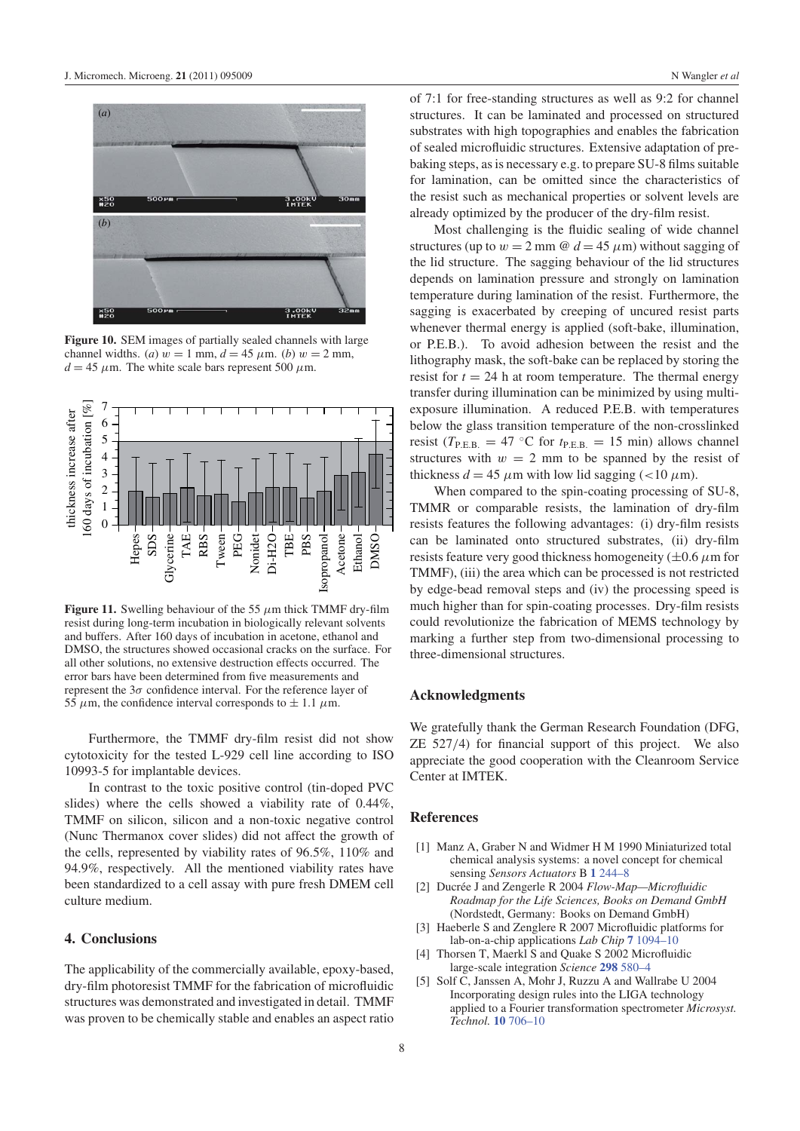

**Figure 10.** SEM images of partially sealed channels with large channel widths. (*a*)  $w = 1$  mm,  $d = 45 \mu$ m. (*b*)  $w = 2$  mm,  $d = 45 \mu$ m. The white scale bars represent 500  $\mu$ m.



**Figure 11.** Swelling behaviour of the 55  $\mu$ m thick TMMF dry-film resist during long-term incubation in biologically relevant solvents and buffers. After 160 days of incubation in acetone, ethanol and DMSO, the structures showed occasional cracks on the surface. For all other solutions, no extensive destruction effects occurred. The error bars have been determined from five measurements and represent the  $3\sigma$  confidence interval. For the reference layer of 55  $\mu$ m, the confidence interval corresponds to  $\pm$  1.1  $\mu$ m.

Furthermore, the TMMF dry-film resist did not show cytotoxicity for the tested L-929 cell line according to ISO 10993-5 for implantable devices.

In contrast to the toxic positive control (tin-doped PVC slides) where the cells showed a viability rate of 0.44%, TMMF on silicon, silicon and a non-toxic negative control (Nunc Thermanox cover slides) did not affect the growth of the cells, represented by viability rates of 96.5%, 110% and 94.9%, respectively. All the mentioned viability rates have been standardized to a cell assay with pure fresh DMEM cell culture medium.

## **4. Conclusions**

The applicability of the commercially available, epoxy-based, dry-film photoresist TMMF for the fabrication of microfluidic structures was demonstrated and investigated in detail. TMMF was proven to be chemically stable and enables an aspect ratio of 7:1 for free-standing structures as well as 9:2 for channel structures. It can be laminated and processed on structured substrates with high topographies and enables the fabrication of sealed microfluidic structures. Extensive adaptation of prebaking steps, as is necessary e.g. to prepare SU-8 films suitable for lamination, can be omitted since the characteristics of the resist such as mechanical properties or solvent levels are already optimized by the producer of the dry-film resist.

Most challenging is the fluidic sealing of wide channel structures (up to  $w = 2$  mm @  $d = 45 \mu$ m) without sagging of the lid structure. The sagging behaviour of the lid structures depends on lamination pressure and strongly on lamination temperature during lamination of the resist. Furthermore, the sagging is exacerbated by creeping of uncured resist parts whenever thermal energy is applied (soft-bake, illumination, or P.E.B.). To avoid adhesion between the resist and the lithography mask, the soft-bake can be replaced by storing the resist for  $t = 24$  h at room temperature. The thermal energy transfer during illumination can be minimized by using multiexposure illumination. A reduced P.E.B. with temperatures below the glass transition temperature of the non-crosslinked resist ( $T_{\text{P.E.B.}} = 47 \text{ °C}$  for  $t_{\text{P.E.B.}} = 15 \text{ min}$ ) allows channel structures with  $w = 2$  mm to be spanned by the resist of thickness  $d = 45 \mu m$  with low lid sagging (<10  $\mu$ m).

When compared to the spin-coating processing of SU-8, TMMR or comparable resists, the lamination of dry-film resists features the following advantages: (i) dry-film resists can be laminated onto structured substrates, (ii) dry-film resists feature very good thickness homogeneity ( $\pm$ 0.6  $\mu$ m for TMMF), (iii) the area which can be processed is not restricted by edge-bead removal steps and (iv) the processing speed is much higher than for spin-coating processes. Dry-film resists could revolutionize the fabrication of MEMS technology by marking a further step from two-dimensional processing to three-dimensional structures.

### **Acknowledgments**

We gratefully thank the German Research Foundation (DFG, ZE 527/4) for financial support of this project. We also appreciate the good cooperation with the Cleanroom Service Center at IMTEK.

#### **References**

- [1] Manz A, Graber N and Widmer H M 1990 Miniaturized total chemical analysis systems: a novel concept for chemical sensing *Sensors Actuators* B **1** 244–8
- [2] Ducrée J and Zengerle R 2004 *Flow-Map—Microfluidic Roadmap for the Life Sciences, Books on Demand GmbH* (Nordstedt, Germany: Books on Demand GmbH)
- [3] Haeberle S and Zenglere R 2007 Microfluidic platforms for lab-on-a-chip applications *Lab Chip* **7** 1094–10
- [4] Thorsen T, Maerkl S and Ouake S 2002 Microfluidic large-scale integration *Science* **298** 580–4
- [5] Solf C, Janssen A, Mohr J, Ruzzu A and Wallrabe U 2004 Incorporating design rules into the LIGA technology applied to a Fourier transformation spectrometer *Microsyst. Technol.* **10** 706–10